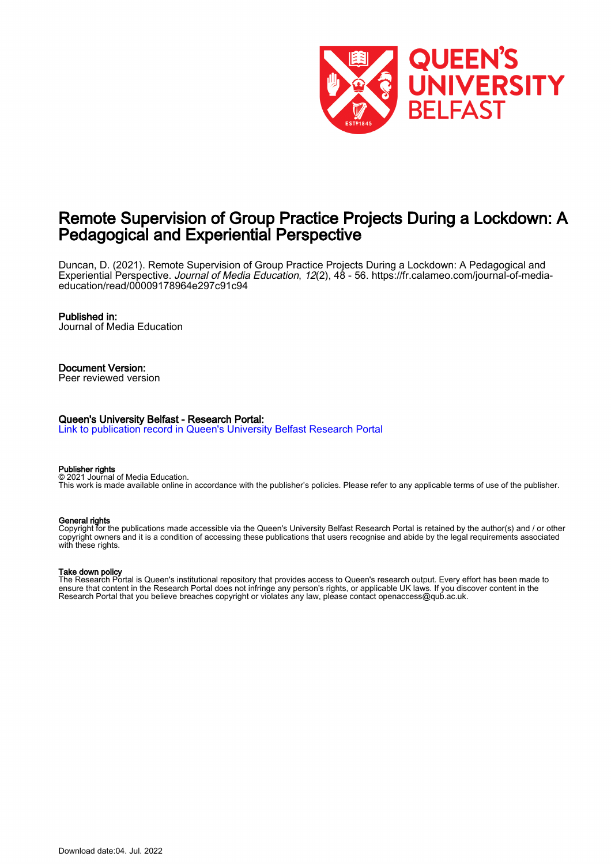

# Remote Supervision of Group Practice Projects During a Lockdown: A Pedagogical and Experiential Perspective

Duncan, D. (2021). Remote Supervision of Group Practice Projects During a Lockdown: A Pedagogical and Experiential Perspective. Journal of Media Education, 12(2), 48 - 56. [https://fr.calameo.com/journal-of-media](https://fr.calameo.com/journal-of-media-education/read/00009178964e297c91c94)[education/read/00009178964e297c91c94](https://fr.calameo.com/journal-of-media-education/read/00009178964e297c91c94)

#### Published in:

Journal of Media Education

# Document Version:

Peer reviewed version

#### Queen's University Belfast - Research Portal:

[Link to publication record in Queen's University Belfast Research Portal](https://pure.qub.ac.uk/en/publications/0406d4a8-af82-438a-90dd-e8aad31f10f6)

#### Publisher rights

© 2021 Journal of Media Education. This work is made available online in accordance with the publisher's policies. Please refer to any applicable terms of use of the publisher.

#### General rights

Copyright for the publications made accessible via the Queen's University Belfast Research Portal is retained by the author(s) and / or other copyright owners and it is a condition of accessing these publications that users recognise and abide by the legal requirements associated with these rights.

#### Take down policy

The Research Portal is Queen's institutional repository that provides access to Queen's research output. Every effort has been made to ensure that content in the Research Portal does not infringe any person's rights, or applicable UK laws. If you discover content in the Research Portal that you believe breaches copyright or violates any law, please contact openaccess@qub.ac.uk.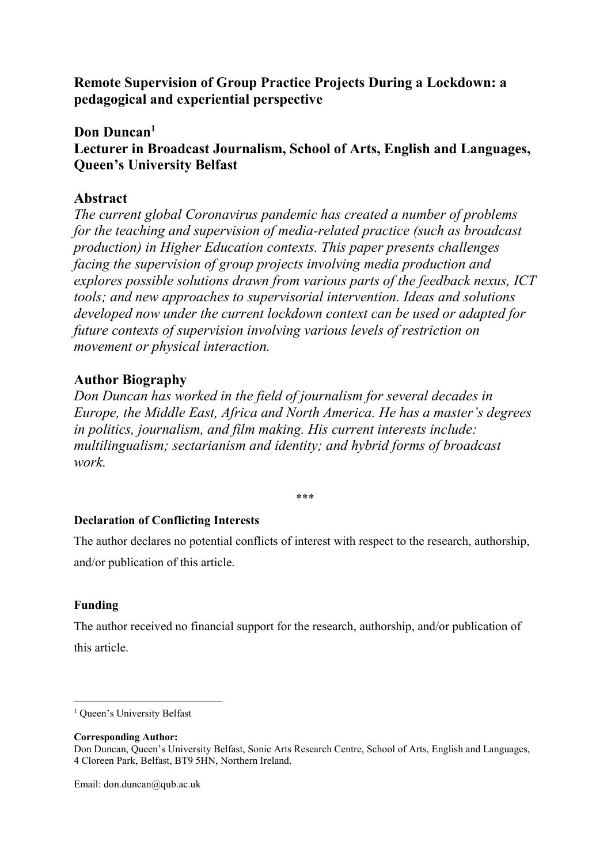Remote Supervision of Group Practice Projects During a Lockdown: a pedagogical and experiential perspective

# Don Duncan<sup>1</sup>

Lecturer in Broadcast Journalism, School of Arts, English and Languages, Queen's University Belfast

# Abstract

The current global Coronavirus pandemic has created a number of problems for the teaching and supervision of media-related practice (such as broadcast production) in Higher Education contexts. This paper presents challenges facing the supervision of group projects involving media production and explores possible solutions drawn from various parts of the feedback nexus, ICT tools; and new approaches to supervisorial intervention. Ideas and solutions developed now under the current lockdown context can be used or adapted for future contexts of supervision involving various levels of restriction on movement or physical interaction.

# Author Biography

Don Duncan has worked in the field of journalism for several decades in Europe, the Middle East, Africa and North America. He has a master's degrees in politics, journalism, and film making. His current interests include: multilingualism; sectarianism and identity; and hybrid forms of broadcast work.

## \*\*\*

# Declaration of Conflicting Interests

The author declares no potential conflicts of interest with respect to the research, authorship, and/or publication of this article.

# Funding

-

The author received no financial support for the research, authorship, and/or publication of this article.

<sup>&</sup>lt;sup>1</sup> Queen's University Belfast

Corresponding Author:

Don Duncan, Queen's University Belfast, Sonic Arts Research Centre, School of Arts, English and Languages, 4 Cloreen Park, Belfast, BT9 5HN, Northern Ireland.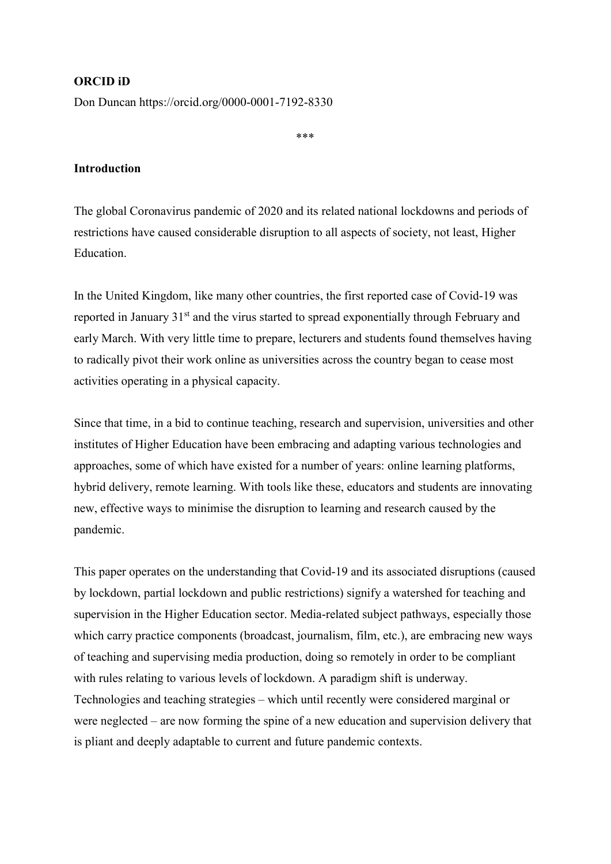## ORCID iD

Don Duncan https://orcid.org/0000-0001-7192-8330

\*\*\*

# Introduction

The global Coronavirus pandemic of 2020 and its related national lockdowns and periods of restrictions have caused considerable disruption to all aspects of society, not least, Higher Education.

In the United Kingdom, like many other countries, the first reported case of Covid-19 was reported in January 31<sup>st</sup> and the virus started to spread exponentially through February and early March. With very little time to prepare, lecturers and students found themselves having to radically pivot their work online as universities across the country began to cease most activities operating in a physical capacity.

Since that time, in a bid to continue teaching, research and supervision, universities and other institutes of Higher Education have been embracing and adapting various technologies and approaches, some of which have existed for a number of years: online learning platforms, hybrid delivery, remote learning. With tools like these, educators and students are innovating new, effective ways to minimise the disruption to learning and research caused by the pandemic.

This paper operates on the understanding that Covid-19 and its associated disruptions (caused by lockdown, partial lockdown and public restrictions) signify a watershed for teaching and supervision in the Higher Education sector. Media-related subject pathways, especially those which carry practice components (broadcast, journalism, film, etc.), are embracing new ways of teaching and supervising media production, doing so remotely in order to be compliant with rules relating to various levels of lockdown. A paradigm shift is underway. Technologies and teaching strategies – which until recently were considered marginal or were neglected – are now forming the spine of a new education and supervision delivery that is pliant and deeply adaptable to current and future pandemic contexts.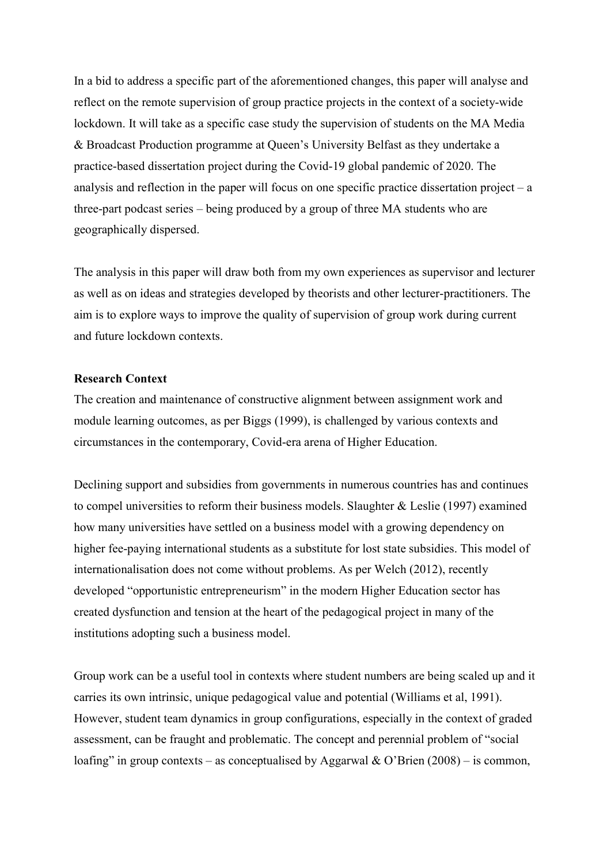In a bid to address a specific part of the aforementioned changes, this paper will analyse and reflect on the remote supervision of group practice projects in the context of a society-wide lockdown. It will take as a specific case study the supervision of students on the MA Media & Broadcast Production programme at Queen's University Belfast as they undertake a practice-based dissertation project during the Covid-19 global pandemic of 2020. The analysis and reflection in the paper will focus on one specific practice dissertation project – a three-part podcast series – being produced by a group of three MA students who are geographically dispersed.

The analysis in this paper will draw both from my own experiences as supervisor and lecturer as well as on ideas and strategies developed by theorists and other lecturer-practitioners. The aim is to explore ways to improve the quality of supervision of group work during current and future lockdown contexts.

# Research Context

The creation and maintenance of constructive alignment between assignment work and module learning outcomes, as per Biggs (1999), is challenged by various contexts and circumstances in the contemporary, Covid-era arena of Higher Education.

Declining support and subsidies from governments in numerous countries has and continues to compel universities to reform their business models. Slaughter & Leslie (1997) examined how many universities have settled on a business model with a growing dependency on higher fee-paying international students as a substitute for lost state subsidies. This model of internationalisation does not come without problems. As per Welch (2012), recently developed "opportunistic entrepreneurism" in the modern Higher Education sector has created dysfunction and tension at the heart of the pedagogical project in many of the institutions adopting such a business model.

Group work can be a useful tool in contexts where student numbers are being scaled up and it carries its own intrinsic, unique pedagogical value and potential (Williams et al, 1991). However, student team dynamics in group configurations, especially in the context of graded assessment, can be fraught and problematic. The concept and perennial problem of "social loafing" in group contexts – as conceptualised by Aggarwal & O'Brien  $(2008)$  – is common,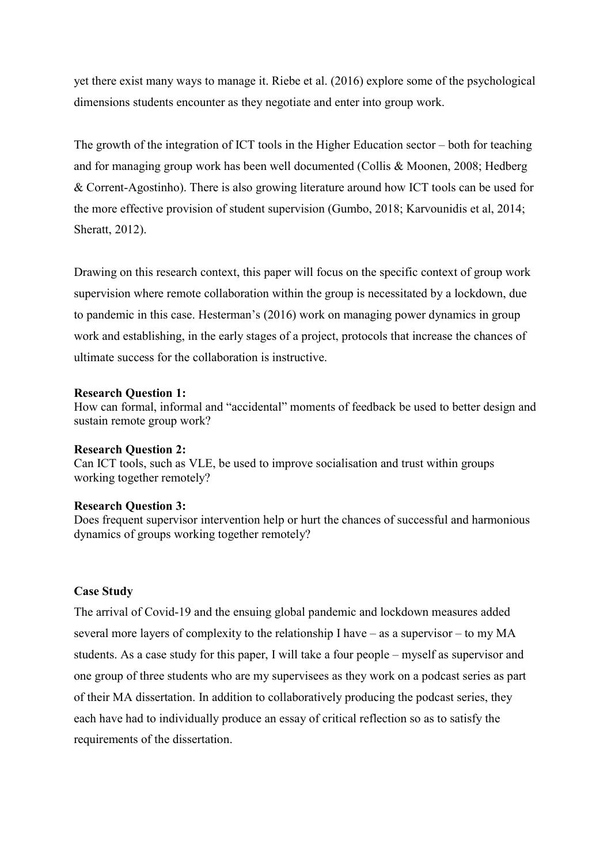yet there exist many ways to manage it. Riebe et al. (2016) explore some of the psychological dimensions students encounter as they negotiate and enter into group work.

The growth of the integration of ICT tools in the Higher Education sector – both for teaching and for managing group work has been well documented (Collis & Moonen, 2008; Hedberg & Corrent-Agostinho). There is also growing literature around how ICT tools can be used for the more effective provision of student supervision (Gumbo, 2018; Karvounidis et al, 2014; Sheratt, 2012).

Drawing on this research context, this paper will focus on the specific context of group work supervision where remote collaboration within the group is necessitated by a lockdown, due to pandemic in this case. Hesterman's (2016) work on managing power dynamics in group work and establishing, in the early stages of a project, protocols that increase the chances of ultimate success for the collaboration is instructive.

### Research Question 1:

How can formal, informal and "accidental" moments of feedback be used to better design and sustain remote group work?

### Research Question 2:

Can ICT tools, such as VLE, be used to improve socialisation and trust within groups working together remotely?

### Research Question 3:

Does frequent supervisor intervention help or hurt the chances of successful and harmonious dynamics of groups working together remotely?

## Case Study

The arrival of Covid-19 and the ensuing global pandemic and lockdown measures added several more layers of complexity to the relationship I have – as a supervisor – to my MA students. As a case study for this paper, I will take a four people – myself as supervisor and one group of three students who are my supervisees as they work on a podcast series as part of their MA dissertation. In addition to collaboratively producing the podcast series, they each have had to individually produce an essay of critical reflection so as to satisfy the requirements of the dissertation.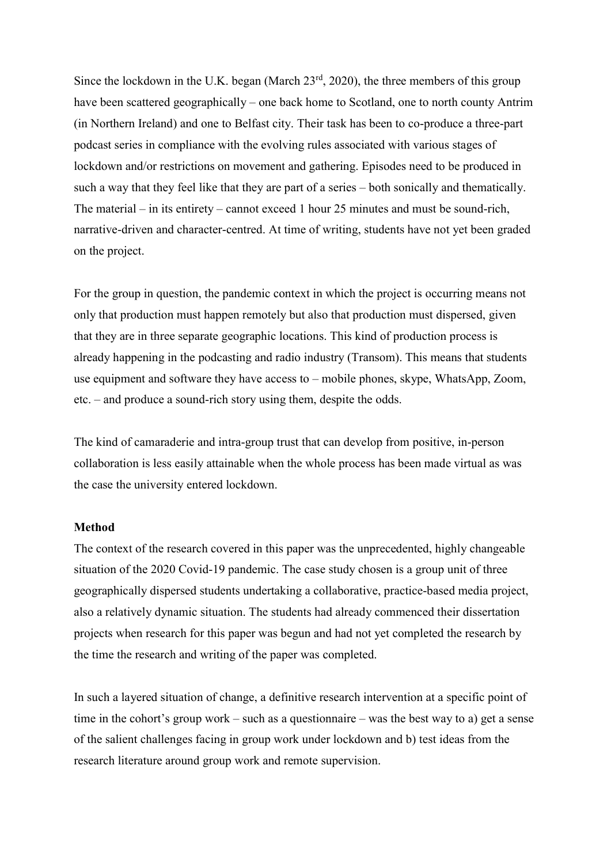Since the lockdown in the U.K. began (March  $23<sup>rd</sup>$ , 2020), the three members of this group have been scattered geographically – one back home to Scotland, one to north county Antrim (in Northern Ireland) and one to Belfast city. Their task has been to co-produce a three-part podcast series in compliance with the evolving rules associated with various stages of lockdown and/or restrictions on movement and gathering. Episodes need to be produced in such a way that they feel like that they are part of a series – both sonically and thematically. The material – in its entirety – cannot exceed 1 hour 25 minutes and must be sound-rich, narrative-driven and character-centred. At time of writing, students have not yet been graded on the project.

For the group in question, the pandemic context in which the project is occurring means not only that production must happen remotely but also that production must dispersed, given that they are in three separate geographic locations. This kind of production process is already happening in the podcasting and radio industry (Transom). This means that students use equipment and software they have access to – mobile phones, skype, WhatsApp, Zoom, etc. – and produce a sound-rich story using them, despite the odds.

The kind of camaraderie and intra-group trust that can develop from positive, in-person collaboration is less easily attainable when the whole process has been made virtual as was the case the university entered lockdown.

### **Method**

The context of the research covered in this paper was the unprecedented, highly changeable situation of the 2020 Covid-19 pandemic. The case study chosen is a group unit of three geographically dispersed students undertaking a collaborative, practice-based media project, also a relatively dynamic situation. The students had already commenced their dissertation projects when research for this paper was begun and had not yet completed the research by the time the research and writing of the paper was completed.

In such a layered situation of change, a definitive research intervention at a specific point of time in the cohort's group work – such as a questionnaire – was the best way to a) get a sense of the salient challenges facing in group work under lockdown and b) test ideas from the research literature around group work and remote supervision.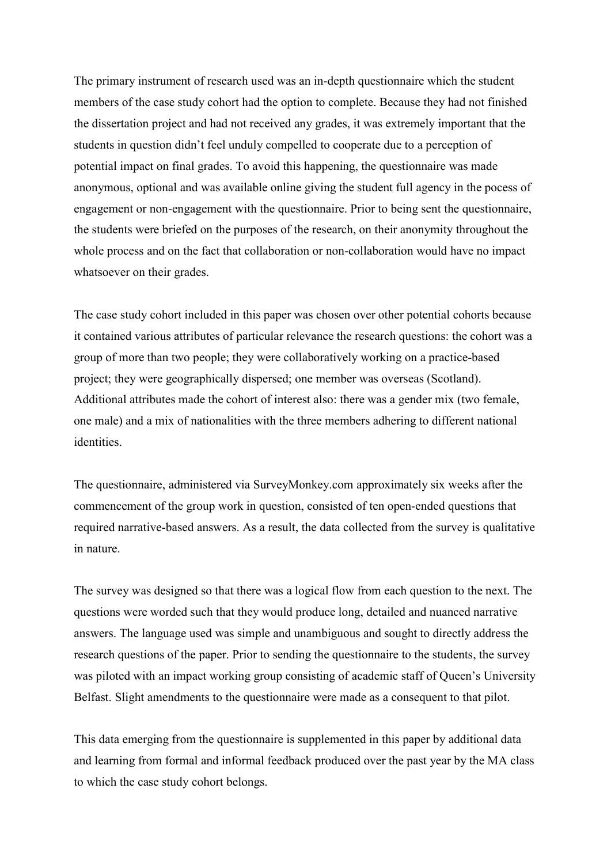The primary instrument of research used was an in-depth questionnaire which the student members of the case study cohort had the option to complete. Because they had not finished the dissertation project and had not received any grades, it was extremely important that the students in question didn't feel unduly compelled to cooperate due to a perception of potential impact on final grades. To avoid this happening, the questionnaire was made anonymous, optional and was available online giving the student full agency in the pocess of engagement or non-engagement with the questionnaire. Prior to being sent the questionnaire, the students were briefed on the purposes of the research, on their anonymity throughout the whole process and on the fact that collaboration or non-collaboration would have no impact whatsoever on their grades.

The case study cohort included in this paper was chosen over other potential cohorts because it contained various attributes of particular relevance the research questions: the cohort was a group of more than two people; they were collaboratively working on a practice-based project; they were geographically dispersed; one member was overseas (Scotland). Additional attributes made the cohort of interest also: there was a gender mix (two female, one male) and a mix of nationalities with the three members adhering to different national identities.

The questionnaire, administered via SurveyMonkey.com approximately six weeks after the commencement of the group work in question, consisted of ten open-ended questions that required narrative-based answers. As a result, the data collected from the survey is qualitative in nature.

The survey was designed so that there was a logical flow from each question to the next. The questions were worded such that they would produce long, detailed and nuanced narrative answers. The language used was simple and unambiguous and sought to directly address the research questions of the paper. Prior to sending the questionnaire to the students, the survey was piloted with an impact working group consisting of academic staff of Queen's University Belfast. Slight amendments to the questionnaire were made as a consequent to that pilot.

This data emerging from the questionnaire is supplemented in this paper by additional data and learning from formal and informal feedback produced over the past year by the MA class to which the case study cohort belongs.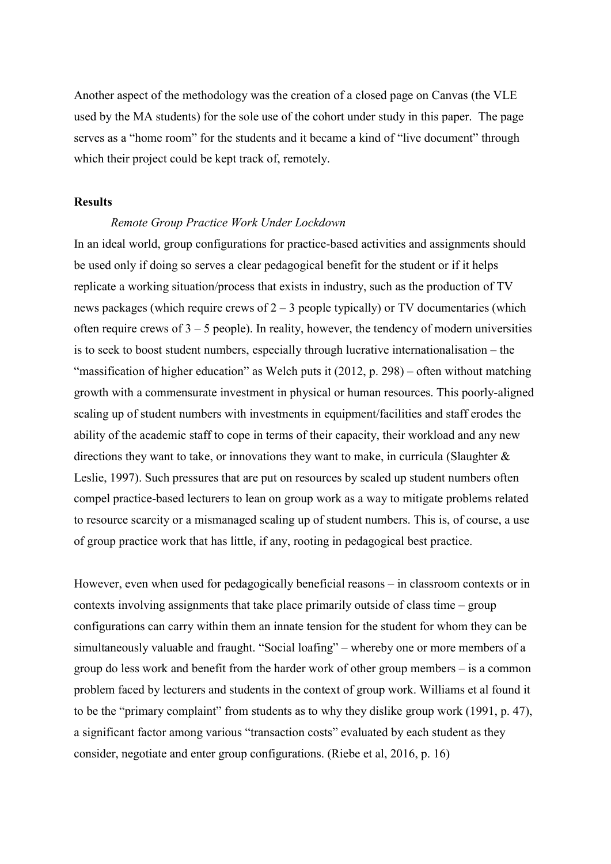Another aspect of the methodology was the creation of a closed page on Canvas (the VLE used by the MA students) for the sole use of the cohort under study in this paper. The page serves as a "home room" for the students and it became a kind of "live document" through which their project could be kept track of, remotely.

# Results

# Remote Group Practice Work Under Lockdown

In an ideal world, group configurations for practice-based activities and assignments should be used only if doing so serves a clear pedagogical benefit for the student or if it helps replicate a working situation/process that exists in industry, such as the production of TV news packages (which require crews of  $2 - 3$  people typically) or TV documentaries (which often require crews of  $3 - 5$  people). In reality, however, the tendency of modern universities is to seek to boost student numbers, especially through lucrative internationalisation – the "massification of higher education" as Welch puts it (2012, p. 298) – often without matching growth with a commensurate investment in physical or human resources. This poorly-aligned scaling up of student numbers with investments in equipment/facilities and staff erodes the ability of the academic staff to cope in terms of their capacity, their workload and any new directions they want to take, or innovations they want to make, in curricula (Slaughter & Leslie, 1997). Such pressures that are put on resources by scaled up student numbers often compel practice-based lecturers to lean on group work as a way to mitigate problems related to resource scarcity or a mismanaged scaling up of student numbers. This is, of course, a use of group practice work that has little, if any, rooting in pedagogical best practice.

However, even when used for pedagogically beneficial reasons – in classroom contexts or in contexts involving assignments that take place primarily outside of class time – group configurations can carry within them an innate tension for the student for whom they can be simultaneously valuable and fraught. "Social loafing" – whereby one or more members of a group do less work and benefit from the harder work of other group members – is a common problem faced by lecturers and students in the context of group work. Williams et al found it to be the "primary complaint" from students as to why they dislike group work (1991, p. 47), a significant factor among various "transaction costs" evaluated by each student as they consider, negotiate and enter group configurations. (Riebe et al, 2016, p. 16)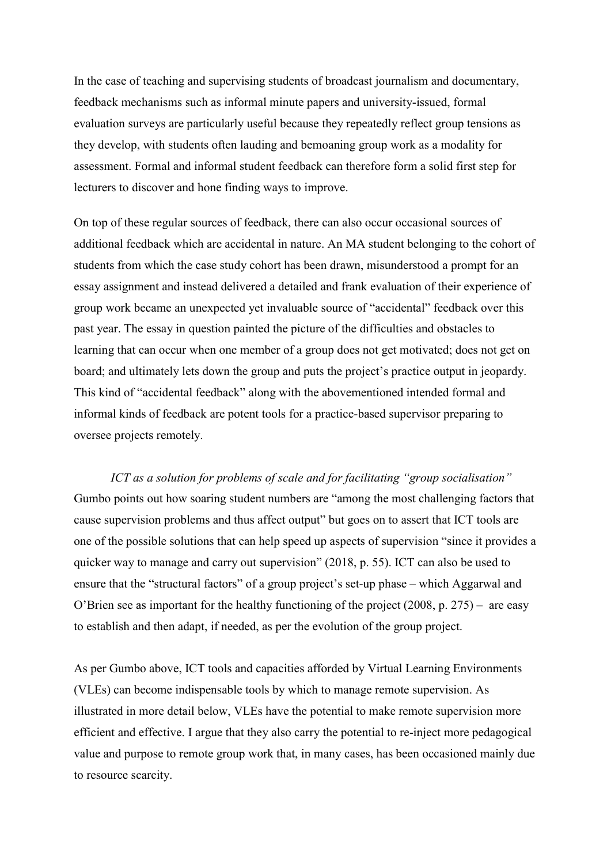In the case of teaching and supervising students of broadcast journalism and documentary, feedback mechanisms such as informal minute papers and university-issued, formal evaluation surveys are particularly useful because they repeatedly reflect group tensions as they develop, with students often lauding and bemoaning group work as a modality for assessment. Formal and informal student feedback can therefore form a solid first step for lecturers to discover and hone finding ways to improve.

On top of these regular sources of feedback, there can also occur occasional sources of additional feedback which are accidental in nature. An MA student belonging to the cohort of students from which the case study cohort has been drawn, misunderstood a prompt for an essay assignment and instead delivered a detailed and frank evaluation of their experience of group work became an unexpected yet invaluable source of "accidental" feedback over this past year. The essay in question painted the picture of the difficulties and obstacles to learning that can occur when one member of a group does not get motivated; does not get on board; and ultimately lets down the group and puts the project's practice output in jeopardy. This kind of "accidental feedback" along with the abovementioned intended formal and informal kinds of feedback are potent tools for a practice-based supervisor preparing to oversee projects remotely.

ICT as a solution for problems of scale and for facilitating "group socialisation" Gumbo points out how soaring student numbers are "among the most challenging factors that cause supervision problems and thus affect output" but goes on to assert that ICT tools are one of the possible solutions that can help speed up aspects of supervision "since it provides a quicker way to manage and carry out supervision" (2018, p. 55). ICT can also be used to ensure that the "structural factors" of a group project's set-up phase – which Aggarwal and O'Brien see as important for the healthy functioning of the project (2008, p. 275) – are easy to establish and then adapt, if needed, as per the evolution of the group project.

As per Gumbo above, ICT tools and capacities afforded by Virtual Learning Environments (VLEs) can become indispensable tools by which to manage remote supervision. As illustrated in more detail below, VLEs have the potential to make remote supervision more efficient and effective. I argue that they also carry the potential to re-inject more pedagogical value and purpose to remote group work that, in many cases, has been occasioned mainly due to resource scarcity.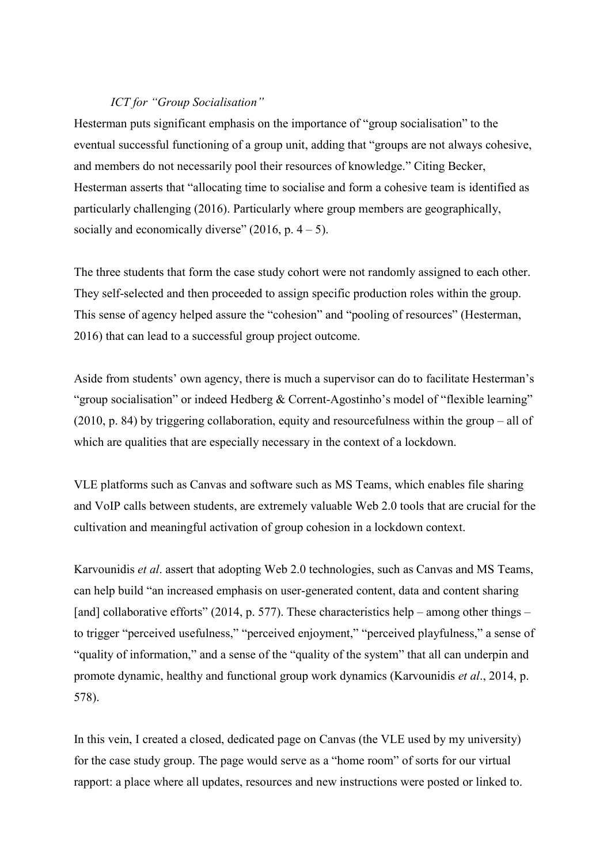# ICT for "Group Socialisation"

Hesterman puts significant emphasis on the importance of "group socialisation" to the eventual successful functioning of a group unit, adding that "groups are not always cohesive, and members do not necessarily pool their resources of knowledge." Citing Becker, Hesterman asserts that "allocating time to socialise and form a cohesive team is identified as particularly challenging (2016). Particularly where group members are geographically, socially and economically diverse" (2016, p.  $4 - 5$ ).

The three students that form the case study cohort were not randomly assigned to each other. They self-selected and then proceeded to assign specific production roles within the group. This sense of agency helped assure the "cohesion" and "pooling of resources" (Hesterman, 2016) that can lead to a successful group project outcome.

Aside from students' own agency, there is much a supervisor can do to facilitate Hesterman's "group socialisation" or indeed Hedberg & Corrent-Agostinho's model of "flexible learning" (2010, p. 84) by triggering collaboration, equity and resourcefulness within the group – all of which are qualities that are especially necessary in the context of a lockdown.

VLE platforms such as Canvas and software such as MS Teams, which enables file sharing and VoIP calls between students, are extremely valuable Web 2.0 tools that are crucial for the cultivation and meaningful activation of group cohesion in a lockdown context.

Karvounidis et al. assert that adopting Web 2.0 technologies, such as Canvas and MS Teams, can help build "an increased emphasis on user-generated content, data and content sharing [and] collaborative efforts" (2014, p. 577). These characteristics help – among other things – to trigger "perceived usefulness," "perceived enjoyment," "perceived playfulness," a sense of "quality of information," and a sense of the "quality of the system" that all can underpin and promote dynamic, healthy and functional group work dynamics (Karvounidis et al., 2014, p. 578).

In this vein, I created a closed, dedicated page on Canvas (the VLE used by my university) for the case study group. The page would serve as a "home room" of sorts for our virtual rapport: a place where all updates, resources and new instructions were posted or linked to.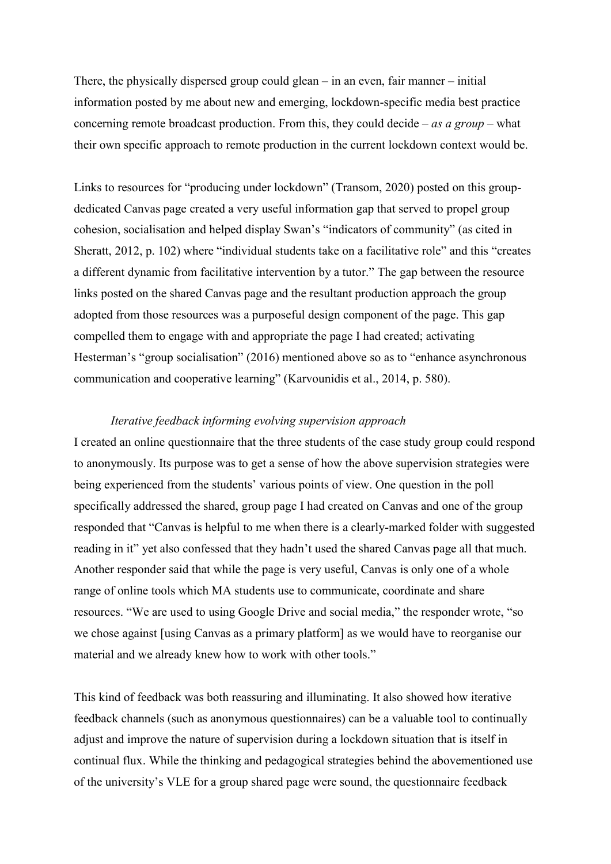There, the physically dispersed group could glean – in an even, fair manner – initial information posted by me about new and emerging, lockdown-specific media best practice concerning remote broadcast production. From this, they could decide – as a group – what their own specific approach to remote production in the current lockdown context would be.

Links to resources for "producing under lockdown" (Transom, 2020) posted on this groupdedicated Canvas page created a very useful information gap that served to propel group cohesion, socialisation and helped display Swan's "indicators of community" (as cited in Sheratt, 2012, p. 102) where "individual students take on a facilitative role" and this "creates a different dynamic from facilitative intervention by a tutor." The gap between the resource links posted on the shared Canvas page and the resultant production approach the group adopted from those resources was a purposeful design component of the page. This gap compelled them to engage with and appropriate the page I had created; activating Hesterman's "group socialisation" (2016) mentioned above so as to "enhance asynchronous communication and cooperative learning" (Karvounidis et al., 2014, p. 580).

## Iterative feedback informing evolving supervision approach

I created an online questionnaire that the three students of the case study group could respond to anonymously. Its purpose was to get a sense of how the above supervision strategies were being experienced from the students' various points of view. One question in the poll specifically addressed the shared, group page I had created on Canvas and one of the group responded that "Canvas is helpful to me when there is a clearly-marked folder with suggested reading in it" yet also confessed that they hadn't used the shared Canvas page all that much. Another responder said that while the page is very useful, Canvas is only one of a whole range of online tools which MA students use to communicate, coordinate and share resources. "We are used to using Google Drive and social media," the responder wrote, "so we chose against [using Canvas as a primary platform] as we would have to reorganise our material and we already knew how to work with other tools."

This kind of feedback was both reassuring and illuminating. It also showed how iterative feedback channels (such as anonymous questionnaires) can be a valuable tool to continually adjust and improve the nature of supervision during a lockdown situation that is itself in continual flux. While the thinking and pedagogical strategies behind the abovementioned use of the university's VLE for a group shared page were sound, the questionnaire feedback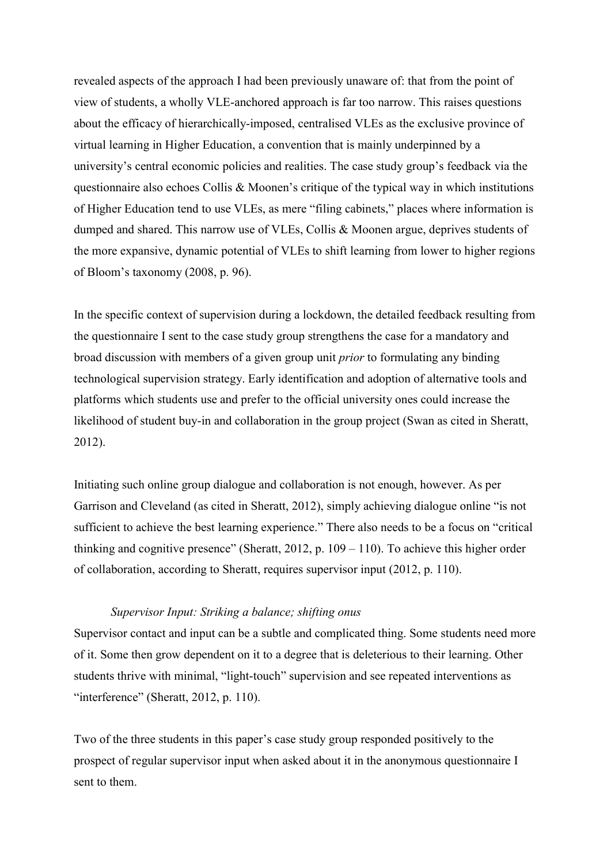revealed aspects of the approach I had been previously unaware of: that from the point of view of students, a wholly VLE-anchored approach is far too narrow. This raises questions about the efficacy of hierarchically-imposed, centralised VLEs as the exclusive province of virtual learning in Higher Education, a convention that is mainly underpinned by a university's central economic policies and realities. The case study group's feedback via the questionnaire also echoes Collis & Moonen's critique of the typical way in which institutions of Higher Education tend to use VLEs, as mere "filing cabinets," places where information is dumped and shared. This narrow use of VLEs, Collis & Moonen argue, deprives students of the more expansive, dynamic potential of VLEs to shift learning from lower to higher regions of Bloom's taxonomy (2008, p. 96).

In the specific context of supervision during a lockdown, the detailed feedback resulting from the questionnaire I sent to the case study group strengthens the case for a mandatory and broad discussion with members of a given group unit prior to formulating any binding technological supervision strategy. Early identification and adoption of alternative tools and platforms which students use and prefer to the official university ones could increase the likelihood of student buy-in and collaboration in the group project (Swan as cited in Sheratt, 2012).

Initiating such online group dialogue and collaboration is not enough, however. As per Garrison and Cleveland (as cited in Sheratt, 2012), simply achieving dialogue online "is not sufficient to achieve the best learning experience." There also needs to be a focus on "critical thinking and cognitive presence" (Sheratt,  $2012$ , p.  $109 - 110$ ). To achieve this higher order of collaboration, according to Sheratt, requires supervisor input (2012, p. 110).

# Supervisor Input: Striking a balance; shifting onus

Supervisor contact and input can be a subtle and complicated thing. Some students need more of it. Some then grow dependent on it to a degree that is deleterious to their learning. Other students thrive with minimal, "light-touch" supervision and see repeated interventions as "interference" (Sheratt, 2012, p. 110).

Two of the three students in this paper's case study group responded positively to the prospect of regular supervisor input when asked about it in the anonymous questionnaire I sent to them.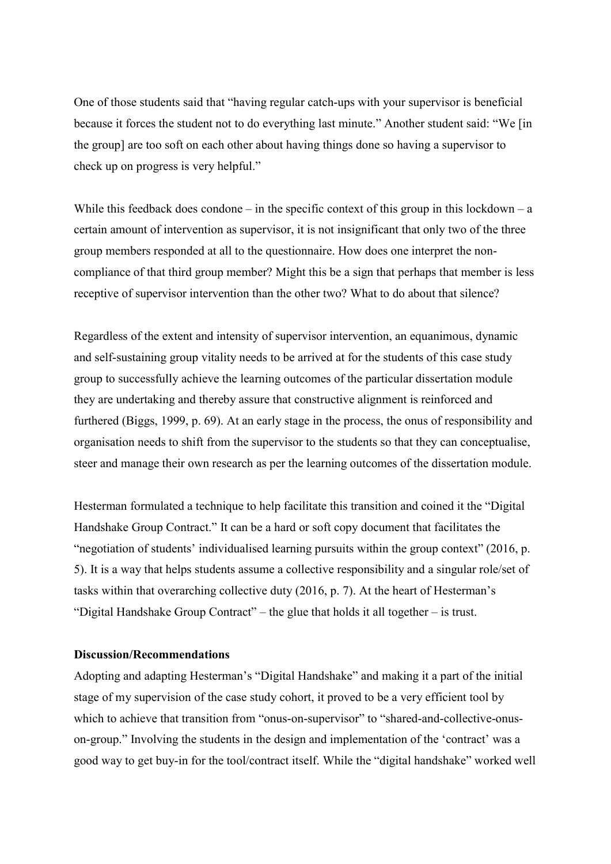One of those students said that "having regular catch-ups with your supervisor is beneficial because it forces the student not to do everything last minute." Another student said: "We [in the group] are too soft on each other about having things done so having a supervisor to check up on progress is very helpful."

While this feedback does condone – in the specific context of this group in this lockdown – a certain amount of intervention as supervisor, it is not insignificant that only two of the three group members responded at all to the questionnaire. How does one interpret the noncompliance of that third group member? Might this be a sign that perhaps that member is less receptive of supervisor intervention than the other two? What to do about that silence?

Regardless of the extent and intensity of supervisor intervention, an equanimous, dynamic and self-sustaining group vitality needs to be arrived at for the students of this case study group to successfully achieve the learning outcomes of the particular dissertation module they are undertaking and thereby assure that constructive alignment is reinforced and furthered (Biggs, 1999, p. 69). At an early stage in the process, the onus of responsibility and organisation needs to shift from the supervisor to the students so that they can conceptualise, steer and manage their own research as per the learning outcomes of the dissertation module.

Hesterman formulated a technique to help facilitate this transition and coined it the "Digital Handshake Group Contract." It can be a hard or soft copy document that facilitates the "negotiation of students' individualised learning pursuits within the group context" (2016, p. 5). It is a way that helps students assume a collective responsibility and a singular role/set of tasks within that overarching collective duty (2016, p. 7). At the heart of Hesterman's "Digital Handshake Group Contract" – the glue that holds it all together – is trust.

## Discussion/Recommendations

Adopting and adapting Hesterman's "Digital Handshake" and making it a part of the initial stage of my supervision of the case study cohort, it proved to be a very efficient tool by which to achieve that transition from "onus-on-supervisor" to "shared-and-collective-onuson-group." Involving the students in the design and implementation of the 'contract' was a good way to get buy-in for the tool/contract itself. While the "digital handshake" worked well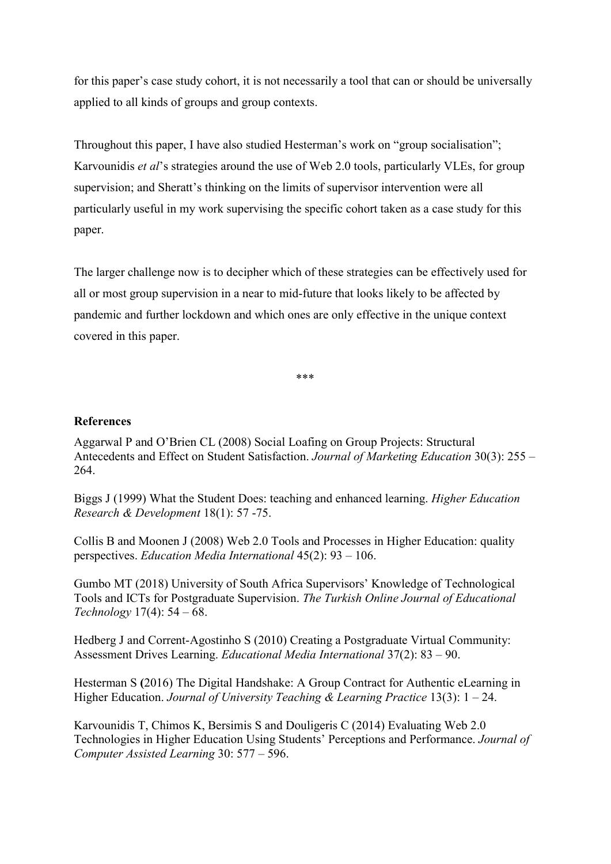for this paper's case study cohort, it is not necessarily a tool that can or should be universally applied to all kinds of groups and group contexts.

Throughout this paper, I have also studied Hesterman's work on "group socialisation"; Karvounidis *et al*'s strategies around the use of Web 2.0 tools, particularly VLEs, for group supervision; and Sheratt's thinking on the limits of supervisor intervention were all particularly useful in my work supervising the specific cohort taken as a case study for this paper.

The larger challenge now is to decipher which of these strategies can be effectively used for all or most group supervision in a near to mid-future that looks likely to be affected by pandemic and further lockdown and which ones are only effective in the unique context covered in this paper.

\*\*\*

# References

Aggarwal P and O'Brien CL (2008) Social Loafing on Group Projects: Structural Antecedents and Effect on Student Satisfaction. Journal of Marketing Education 30(3): 255 – 264.

Biggs J (1999) What the Student Does: teaching and enhanced learning. Higher Education Research & Development 18(1): 57 -75.

Collis B and Moonen J (2008) Web 2.0 Tools and Processes in Higher Education: quality perspectives. Education Media International 45(2): 93 – 106.

Gumbo MT (2018) University of South Africa Supervisors' Knowledge of Technological Tools and ICTs for Postgraduate Supervision. The Turkish Online Journal of Educational Technology 17(4): 54 – 68.

Hedberg J and Corrent-Agostinho S (2010) Creating a Postgraduate Virtual Community: Assessment Drives Learning. Educational Media International 37(2): 83 – 90.

Hesterman S (2016) The Digital Handshake: A Group Contract for Authentic eLearning in Higher Education. Journal of University Teaching & Learning Practice 13(3):  $1 - 24$ .

Karvounidis T, Chimos K, Bersimis S and Douligeris C (2014) Evaluating Web 2.0 Technologies in Higher Education Using Students' Perceptions and Performance. Journal of Computer Assisted Learning 30: 577 – 596.